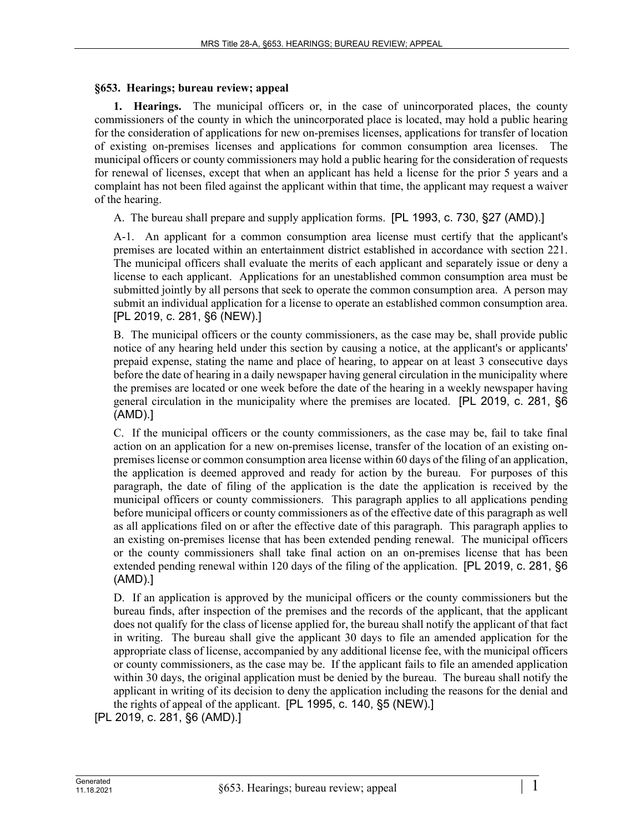## **§653. Hearings; bureau review; appeal**

**1. Hearings.** The municipal officers or, in the case of unincorporated places, the county commissioners of the county in which the unincorporated place is located, may hold a public hearing for the consideration of applications for new on-premises licenses, applications for transfer of location of existing on-premises licenses and applications for common consumption area licenses. The municipal officers or county commissioners may hold a public hearing for the consideration of requests for renewal of licenses, except that when an applicant has held a license for the prior 5 years and a complaint has not been filed against the applicant within that time, the applicant may request a waiver of the hearing.

A. The bureau shall prepare and supply application forms. [PL 1993, c. 730, §27 (AMD).]

A-1. An applicant for a common consumption area license must certify that the applicant's premises are located within an entertainment district established in accordance with section 221. The municipal officers shall evaluate the merits of each applicant and separately issue or deny a license to each applicant. Applications for an unestablished common consumption area must be submitted jointly by all persons that seek to operate the common consumption area. A person may submit an individual application for a license to operate an established common consumption area. [PL 2019, c. 281, §6 (NEW).]

B. The municipal officers or the county commissioners, as the case may be, shall provide public notice of any hearing held under this section by causing a notice, at the applicant's or applicants' prepaid expense, stating the name and place of hearing, to appear on at least 3 consecutive days before the date of hearing in a daily newspaper having general circulation in the municipality where the premises are located or one week before the date of the hearing in a weekly newspaper having general circulation in the municipality where the premises are located. [PL 2019, c. 281, §6 (AMD).]

C. If the municipal officers or the county commissioners, as the case may be, fail to take final action on an application for a new on-premises license, transfer of the location of an existing onpremises license or common consumption area license within 60 days of the filing of an application, the application is deemed approved and ready for action by the bureau. For purposes of this paragraph, the date of filing of the application is the date the application is received by the municipal officers or county commissioners. This paragraph applies to all applications pending before municipal officers or county commissioners as of the effective date of this paragraph as well as all applications filed on or after the effective date of this paragraph. This paragraph applies to an existing on-premises license that has been extended pending renewal. The municipal officers or the county commissioners shall take final action on an on-premises license that has been extended pending renewal within 120 days of the filing of the application. [PL 2019, c. 281, §6 (AMD).]

D. If an application is approved by the municipal officers or the county commissioners but the bureau finds, after inspection of the premises and the records of the applicant, that the applicant does not qualify for the class of license applied for, the bureau shall notify the applicant of that fact in writing. The bureau shall give the applicant 30 days to file an amended application for the appropriate class of license, accompanied by any additional license fee, with the municipal officers or county commissioners, as the case may be. If the applicant fails to file an amended application within 30 days, the original application must be denied by the bureau. The bureau shall notify the applicant in writing of its decision to deny the application including the reasons for the denial and the rights of appeal of the applicant. [PL 1995, c. 140, §5 (NEW).]

[PL 2019, c. 281, §6 (AMD).]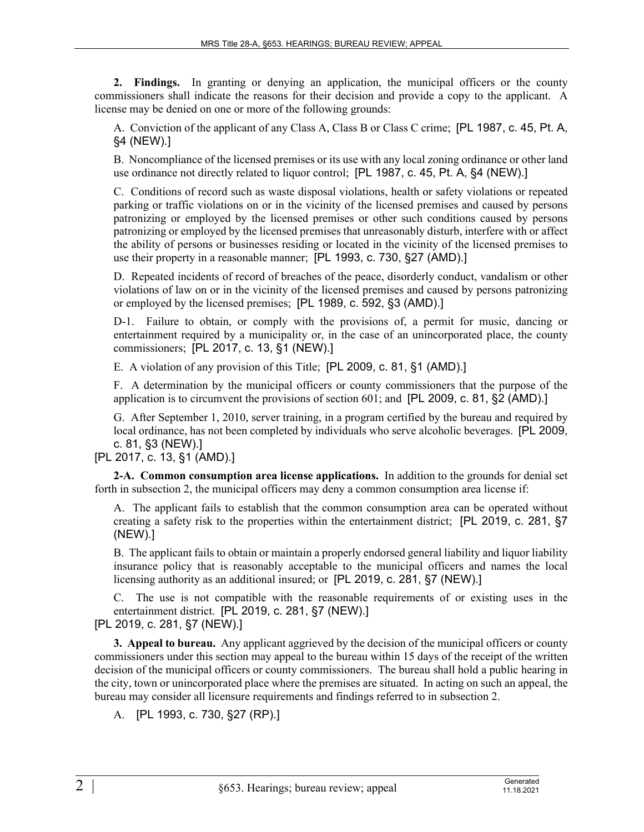**2. Findings.** In granting or denying an application, the municipal officers or the county commissioners shall indicate the reasons for their decision and provide a copy to the applicant. A license may be denied on one or more of the following grounds:

A. Conviction of the applicant of any Class A, Class B or Class C crime; [PL 1987, c. 45, Pt. A, §4 (NEW).]

B. Noncompliance of the licensed premises or its use with any local zoning ordinance or other land use ordinance not directly related to liquor control; [PL 1987, c. 45, Pt. A, §4 (NEW).]

C. Conditions of record such as waste disposal violations, health or safety violations or repeated parking or traffic violations on or in the vicinity of the licensed premises and caused by persons patronizing or employed by the licensed premises or other such conditions caused by persons patronizing or employed by the licensed premises that unreasonably disturb, interfere with or affect the ability of persons or businesses residing or located in the vicinity of the licensed premises to use their property in a reasonable manner; [PL 1993, c. 730, §27 (AMD).]

D. Repeated incidents of record of breaches of the peace, disorderly conduct, vandalism or other violations of law on or in the vicinity of the licensed premises and caused by persons patronizing or employed by the licensed premises; [PL 1989, c. 592, §3 (AMD).]

D-1. Failure to obtain, or comply with the provisions of, a permit for music, dancing or entertainment required by a municipality or, in the case of an unincorporated place, the county commissioners; [PL 2017, c. 13, §1 (NEW).]

E. A violation of any provision of this Title; [PL 2009, c. 81, §1 (AMD).]

F. A determination by the municipal officers or county commissioners that the purpose of the application is to circumvent the provisions of section 601; and [PL 2009, c. 81, §2 (AMD).]

G. After September 1, 2010, server training, in a program certified by the bureau and required by local ordinance, has not been completed by individuals who serve alcoholic beverages. [PL 2009, c. 81, §3 (NEW).]

[PL 2017, c. 13, §1 (AMD).]

**2-A. Common consumption area license applications.** In addition to the grounds for denial set forth in subsection 2, the municipal officers may deny a common consumption area license if:

A. The applicant fails to establish that the common consumption area can be operated without creating a safety risk to the properties within the entertainment district; [PL 2019, c. 281, §7 (NEW).]

B. The applicant fails to obtain or maintain a properly endorsed general liability and liquor liability insurance policy that is reasonably acceptable to the municipal officers and names the local licensing authority as an additional insured; or [PL 2019, c. 281, §7 (NEW).]

C. The use is not compatible with the reasonable requirements of or existing uses in the entertainment district. [PL 2019, c. 281, §7 (NEW).] [PL 2019, c. 281, §7 (NEW).]

**3. Appeal to bureau.** Any applicant aggrieved by the decision of the municipal officers or county commissioners under this section may appeal to the bureau within 15 days of the receipt of the written decision of the municipal officers or county commissioners. The bureau shall hold a public hearing in the city, town or unincorporated place where the premises are situated. In acting on such an appeal, the bureau may consider all licensure requirements and findings referred to in subsection 2.

A. [PL 1993, c. 730, §27 (RP).]